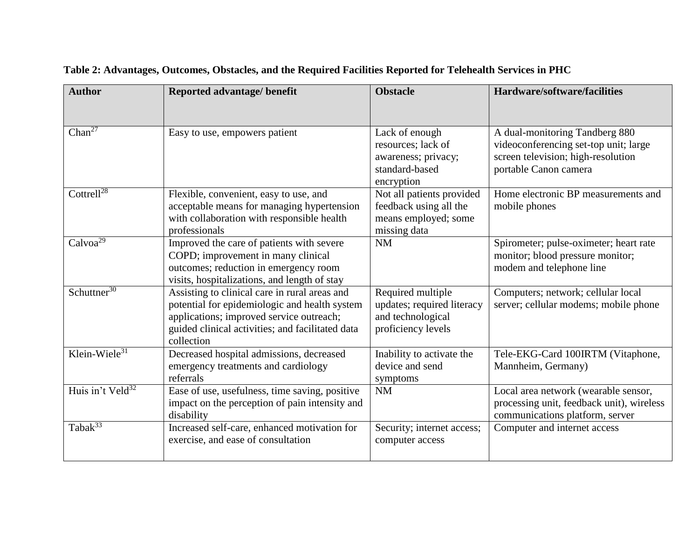| <b>Author</b>                | Reported advantage/ benefit                                                                                                                                                                                  | <b>Obstacle</b>                                                                             | Hardware/software/facilities                                                                                                           |
|------------------------------|--------------------------------------------------------------------------------------------------------------------------------------------------------------------------------------------------------------|---------------------------------------------------------------------------------------------|----------------------------------------------------------------------------------------------------------------------------------------|
|                              |                                                                                                                                                                                                              |                                                                                             |                                                                                                                                        |
| Chan <sup>27</sup>           | Easy to use, empowers patient                                                                                                                                                                                | Lack of enough<br>resources; lack of<br>awareness; privacy;<br>standard-based<br>encryption | A dual-monitoring Tandberg 880<br>videoconferencing set-top unit; large<br>screen television; high-resolution<br>portable Canon camera |
| Cottrell <sup>28</sup>       | Flexible, convenient, easy to use, and<br>acceptable means for managing hypertension<br>with collaboration with responsible health<br>professionals                                                          | Not all patients provided<br>feedback using all the<br>means employed; some<br>missing data | Home electronic BP measurements and<br>mobile phones                                                                                   |
| Calvoa <sup>29</sup>         | Improved the care of patients with severe<br>COPD; improvement in many clinical<br>outcomes; reduction in emergency room<br>visits, hospitalizations, and length of stay                                     | NM                                                                                          | Spirometer; pulse-oximeter; heart rate<br>monitor; blood pressure monitor;<br>modem and telephone line                                 |
| Schuttner <sup>30</sup>      | Assisting to clinical care in rural areas and<br>potential for epidemiologic and health system<br>applications; improved service outreach;<br>guided clinical activities; and facilitated data<br>collection | Required multiple<br>updates; required literacy<br>and technological<br>proficiency levels  | Computers; network; cellular local<br>server; cellular modems; mobile phone                                                            |
| Klein-Wiele $31$             | Decreased hospital admissions, decreased<br>emergency treatments and cardiology<br>referrals                                                                                                                 | Inability to activate the<br>device and send<br>symptoms                                    | Tele-EKG-Card 100IRTM (Vitaphone,<br>Mannheim, Germany)                                                                                |
| Huis in't Veld <sup>32</sup> | Ease of use, usefulness, time saving, positive<br>impact on the perception of pain intensity and<br>disability                                                                                               | <b>NM</b>                                                                                   | Local area network (wearable sensor,<br>processing unit, feedback unit), wireless<br>communications platform, server                   |
| Taba $k^{33}$                | Increased self-care, enhanced motivation for<br>exercise, and ease of consultation                                                                                                                           | Security; internet access;<br>computer access                                               | Computer and internet access                                                                                                           |

## **Table 2: Advantages, Outcomes, Obstacles, and the Required Facilities Reported for Telehealth Services in PHC**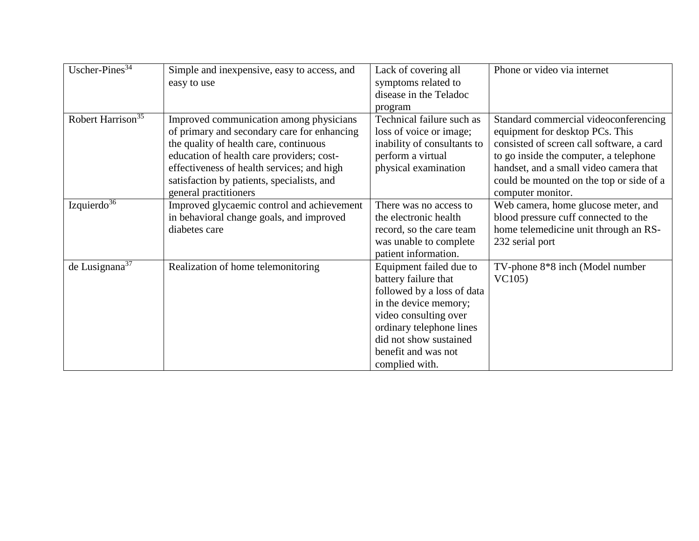| Uscher-Pines <sup>34</sup>    | Simple and inexpensive, easy to access, and | Lack of covering all        | Phone or video via internet               |
|-------------------------------|---------------------------------------------|-----------------------------|-------------------------------------------|
|                               | easy to use                                 | symptoms related to         |                                           |
|                               |                                             | disease in the Teladoc      |                                           |
|                               |                                             | program                     |                                           |
| Robert Harrison <sup>35</sup> | Improved communication among physicians     | Technical failure such as   | Standard commercial videoconferencing     |
|                               | of primary and secondary care for enhancing | loss of voice or image;     | equipment for desktop PCs. This           |
|                               | the quality of health care, continuous      | inability of consultants to | consisted of screen call software, a card |
|                               | education of health care providers; cost-   | perform a virtual           | to go inside the computer, a telephone    |
|                               | effectiveness of health services; and high  | physical examination        | handset, and a small video camera that    |
|                               | satisfaction by patients, specialists, and  |                             | could be mounted on the top or side of a  |
|                               | general practitioners                       |                             | computer monitor.                         |
| Izquierdo $36$                | Improved glycaemic control and achievement  | There was no access to      | Web camera, home glucose meter, and       |
|                               | in behavioral change goals, and improved    | the electronic health       | blood pressure cuff connected to the      |
|                               | diabetes care                               | record, so the care team    | home telemedicine unit through an RS-     |
|                               |                                             | was unable to complete      | 232 serial port                           |
|                               |                                             | patient information.        |                                           |
| de Lusignana $37$             | Realization of home telemonitoring          | Equipment failed due to     | TV-phone 8*8 inch (Model number           |
|                               |                                             | battery failure that        | VC105)                                    |
|                               |                                             | followed by a loss of data  |                                           |
|                               |                                             | in the device memory;       |                                           |
|                               |                                             | video consulting over       |                                           |
|                               |                                             | ordinary telephone lines    |                                           |
|                               |                                             | did not show sustained      |                                           |
|                               |                                             | benefit and was not         |                                           |
|                               |                                             | complied with.              |                                           |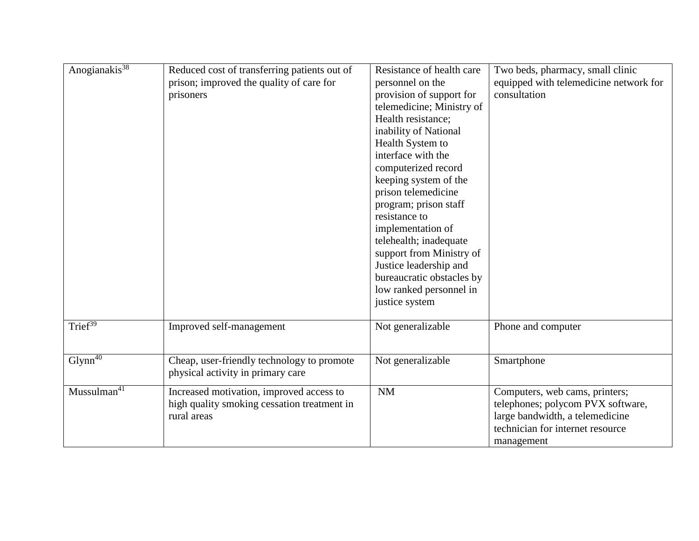| Anogianakis <sup>38</sup> | Reduced cost of transferring patients out of<br>prison; improved the quality of care for<br>prisoners  | Resistance of health care<br>personnel on the<br>provision of support for<br>telemedicine; Ministry of<br>Health resistance;<br>inability of National<br>Health System to<br>interface with the<br>computerized record<br>keeping system of the<br>prison telemedicine<br>program; prison staff<br>resistance to<br>implementation of<br>telehealth; inadequate<br>support from Ministry of<br>Justice leadership and<br>bureaucratic obstacles by<br>low ranked personnel in<br>justice system | Two beds, pharmacy, small clinic<br>equipped with telemedicine network for<br>consultation                                                               |
|---------------------------|--------------------------------------------------------------------------------------------------------|-------------------------------------------------------------------------------------------------------------------------------------------------------------------------------------------------------------------------------------------------------------------------------------------------------------------------------------------------------------------------------------------------------------------------------------------------------------------------------------------------|----------------------------------------------------------------------------------------------------------------------------------------------------------|
| Trief $39$                | Improved self-management                                                                               | Not generalizable                                                                                                                                                                                                                                                                                                                                                                                                                                                                               | Phone and computer                                                                                                                                       |
| $Glynn^{40}$              | Cheap, user-friendly technology to promote<br>physical activity in primary care                        | Not generalizable                                                                                                                                                                                                                                                                                                                                                                                                                                                                               | Smartphone                                                                                                                                               |
| Mussulman <sup>41</sup>   | Increased motivation, improved access to<br>high quality smoking cessation treatment in<br>rural areas | <b>NM</b>                                                                                                                                                                                                                                                                                                                                                                                                                                                                                       | Computers, web cams, printers;<br>telephones; polycom PVX software,<br>large bandwidth, a telemedicine<br>technician for internet resource<br>management |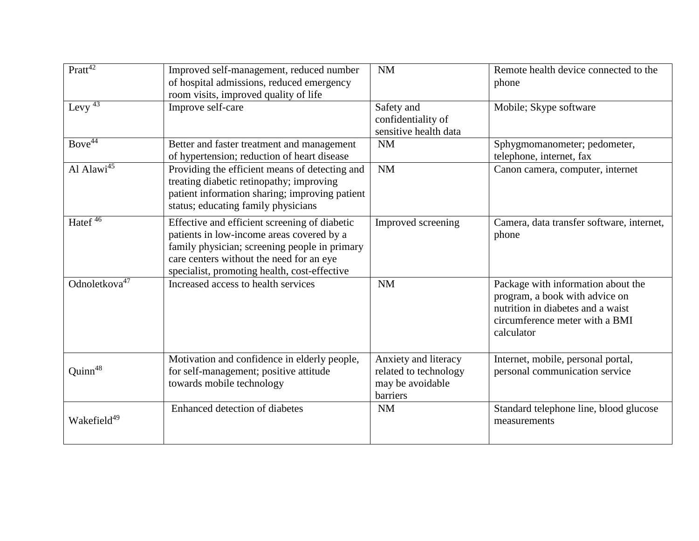| $Pratt^{42}$                 | Improved self-management, reduced number<br>of hospital admissions, reduced emergency<br>room visits, improved quality of life                                                                                                          | NM                                                                            | Remote health device connected to the<br>phone                                                                                                            |
|------------------------------|-----------------------------------------------------------------------------------------------------------------------------------------------------------------------------------------------------------------------------------------|-------------------------------------------------------------------------------|-----------------------------------------------------------------------------------------------------------------------------------------------------------|
| Levy $43$                    | Improve self-care                                                                                                                                                                                                                       | Safety and<br>confidentiality of<br>sensitive health data                     | Mobile; Skype software                                                                                                                                    |
| $Bove^{44}$                  | Better and faster treatment and management<br>of hypertension; reduction of heart disease                                                                                                                                               | NM                                                                            | Sphygmomanometer; pedometer,<br>telephone, internet, fax                                                                                                  |
| Al Alawi $\overline{A^{15}}$ | Providing the efficient means of detecting and<br>treating diabetic retinopathy; improving<br>patient information sharing; improving patient<br>status; educating family physicians                                                     | <b>NM</b>                                                                     | Canon camera, computer, internet                                                                                                                          |
| Hate $\overline{f^{46}}$     | Effective and efficient screening of diabetic<br>patients in low-income areas covered by a<br>family physician; screening people in primary<br>care centers without the need for an eye<br>specialist, promoting health, cost-effective | Improved screening                                                            | Camera, data transfer software, internet,<br>phone                                                                                                        |
| Odnoletkova $47$             | Increased access to health services                                                                                                                                                                                                     | NM                                                                            | Package with information about the<br>program, a book with advice on<br>nutrition in diabetes and a waist<br>circumference meter with a BMI<br>calculator |
| Quinn <sup>48</sup>          | Motivation and confidence in elderly people,<br>for self-management; positive attitude<br>towards mobile technology                                                                                                                     | Anxiety and literacy<br>related to technology<br>may be avoidable<br>barriers | Internet, mobile, personal portal,<br>personal communication service                                                                                      |
| Wakefield <sup>49</sup>      | Enhanced detection of diabetes                                                                                                                                                                                                          | NM                                                                            | Standard telephone line, blood glucose<br>measurements                                                                                                    |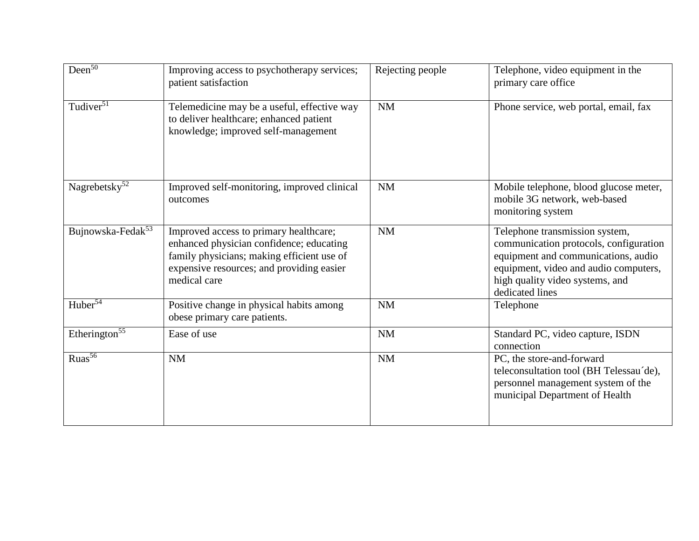| $Deen^{50}$                   | Improving access to psychotherapy services;<br>patient satisfaction                                                                                                                           | Rejecting people | Telephone, video equipment in the<br>primary care office                                                                                                                                                       |
|-------------------------------|-----------------------------------------------------------------------------------------------------------------------------------------------------------------------------------------------|------------------|----------------------------------------------------------------------------------------------------------------------------------------------------------------------------------------------------------------|
| Tudiver <sup>51</sup>         | Telemedicine may be a useful, effective way<br>to deliver healthcare; enhanced patient<br>knowledge; improved self-management                                                                 | NM               | Phone service, web portal, email, fax                                                                                                                                                                          |
| Nagrebetsky <sup>52</sup>     | Improved self-monitoring, improved clinical<br>outcomes                                                                                                                                       | NM               | Mobile telephone, blood glucose meter,<br>mobile 3G network, web-based<br>monitoring system                                                                                                                    |
| Bujnowska-Fedak <sup>53</sup> | Improved access to primary healthcare;<br>enhanced physician confidence; educating<br>family physicians; making efficient use of<br>expensive resources; and providing easier<br>medical care | <b>NM</b>        | Telephone transmission system,<br>communication protocols, configuration<br>equipment and communications, audio<br>equipment, video and audio computers,<br>high quality video systems, and<br>dedicated lines |
| Huber <sup>54</sup>           | Positive change in physical habits among<br>obese primary care patients.                                                                                                                      | NM               | Telephone                                                                                                                                                                                                      |
| Etherington <sup>55</sup>     | Ease of use                                                                                                                                                                                   | NM               | Standard PC, video capture, ISDN<br>connection                                                                                                                                                                 |
| $\overline{\text{Ruas}^{56}}$ | <b>NM</b>                                                                                                                                                                                     | NM               | PC, the store-and-forward<br>teleconsultation tool (BH Telessau'de),<br>personnel management system of the<br>municipal Department of Health                                                                   |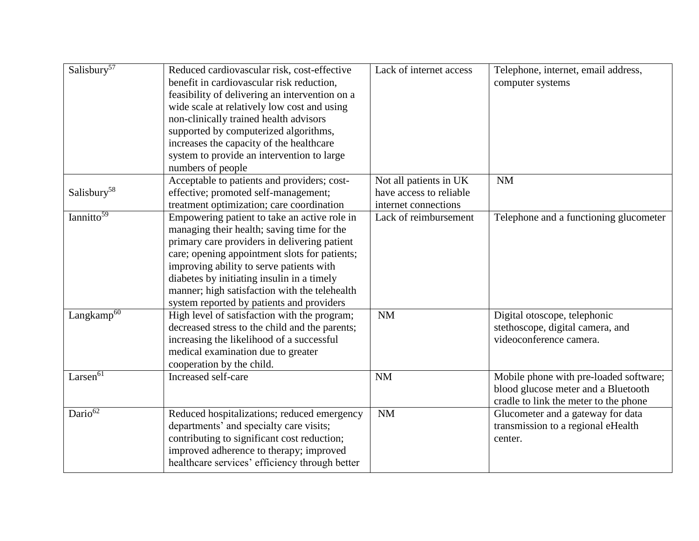| Salisbury <sup>57</sup> | Reduced cardiovascular risk, cost-effective<br>benefit in cardiovascular risk reduction,<br>feasibility of delivering an intervention on a<br>wide scale at relatively low cost and using<br>non-clinically trained health advisors<br>supported by computerized algorithms,<br>increases the capacity of the healthcare<br>system to provide an intervention to large<br>numbers of people | Lack of internet access                                                   | Telephone, internet, email address,<br>computer systems                                                                |
|-------------------------|---------------------------------------------------------------------------------------------------------------------------------------------------------------------------------------------------------------------------------------------------------------------------------------------------------------------------------------------------------------------------------------------|---------------------------------------------------------------------------|------------------------------------------------------------------------------------------------------------------------|
| Salisbury <sup>58</sup> | Acceptable to patients and providers; cost-<br>effective; promoted self-management;<br>treatment optimization; care coordination                                                                                                                                                                                                                                                            | Not all patients in UK<br>have access to reliable<br>internet connections | <b>NM</b>                                                                                                              |
| Iannitto <sup>59</sup>  | Empowering patient to take an active role in<br>managing their health; saving time for the<br>primary care providers in delivering patient<br>care; opening appointment slots for patients;<br>improving ability to serve patients with<br>diabetes by initiating insulin in a timely<br>manner; high satisfaction with the telehealth<br>system reported by patients and providers         | Lack of reimbursement                                                     | Telephone and a functioning glucometer                                                                                 |
| Langkamp <sup>60</sup>  | High level of satisfaction with the program;<br>decreased stress to the child and the parents;<br>increasing the likelihood of a successful<br>medical examination due to greater<br>cooperation by the child.                                                                                                                                                                              | NM                                                                        | Digital otoscope, telephonic<br>stethoscope, digital camera, and<br>videoconference camera.                            |
| Larsen $\overline{61}$  | Increased self-care                                                                                                                                                                                                                                                                                                                                                                         | <b>NM</b>                                                                 | Mobile phone with pre-loaded software;<br>blood glucose meter and a Bluetooth<br>cradle to link the meter to the phone |
| Dario <sup>62</sup>     | Reduced hospitalizations; reduced emergency<br>departments' and specialty care visits;<br>contributing to significant cost reduction;<br>improved adherence to therapy; improved<br>healthcare services' efficiency through better                                                                                                                                                          | NM                                                                        | Glucometer and a gateway for data<br>transmission to a regional eHealth<br>center.                                     |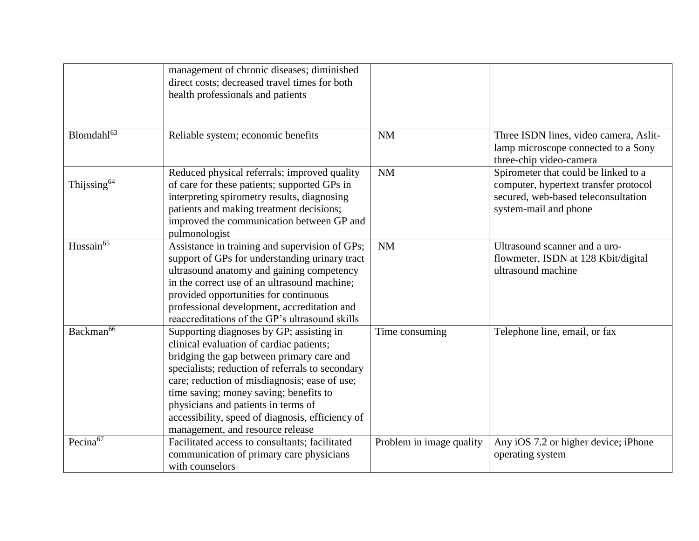|                         | management of chronic diseases; diminished<br>direct costs; decreased travel times for both<br>health professionals and patients                                                                                                                                                                                                                                                                                |                          |                                                                                                                                               |
|-------------------------|-----------------------------------------------------------------------------------------------------------------------------------------------------------------------------------------------------------------------------------------------------------------------------------------------------------------------------------------------------------------------------------------------------------------|--------------------------|-----------------------------------------------------------------------------------------------------------------------------------------------|
| Blomdahl <sup>63</sup>  | Reliable system; economic benefits                                                                                                                                                                                                                                                                                                                                                                              | <b>NM</b>                | Three ISDN lines, video camera, Aslit-<br>lamp microscope connected to a Sony<br>three-chip video-camera                                      |
| Thijssing <sup>64</sup> | Reduced physical referrals; improved quality<br>of care for these patients; supported GPs in<br>interpreting spirometry results, diagnosing<br>patients and making treatment decisions;<br>improved the communication between GP and<br>pulmonologist                                                                                                                                                           | NM                       | Spirometer that could be linked to a<br>computer, hypertext transfer protocol<br>secured, web-based teleconsultation<br>system-mail and phone |
| Hussain <sup>65</sup>   | Assistance in training and supervision of GPs;<br>support of GPs for understanding urinary tract<br>ultrasound anatomy and gaining competency<br>in the correct use of an ultrasound machine;<br>provided opportunities for continuous<br>professional development, accreditation and<br>reaccreditations of the GP's ultrasound skills                                                                         | <b>NM</b>                | Ultrasound scanner and a uro-<br>flowmeter, ISDN at 128 Kbit/digital<br>ultrasound machine                                                    |
| Backman <sup>66</sup>   | Supporting diagnoses by GP; assisting in<br>clinical evaluation of cardiac patients;<br>bridging the gap between primary care and<br>specialists; reduction of referrals to secondary<br>care; reduction of misdiagnosis; ease of use;<br>time saving; money saving; benefits to<br>physicians and patients in terms of<br>accessibility, speed of diagnosis, efficiency of<br>management, and resource release | Time consuming           | Telephone line, email, or fax                                                                                                                 |
| Pecina <sup>67</sup>    | Facilitated access to consultants; facilitated<br>communication of primary care physicians<br>with counselors                                                                                                                                                                                                                                                                                                   | Problem in image quality | Any iOS 7.2 or higher device; iPhone<br>operating system                                                                                      |